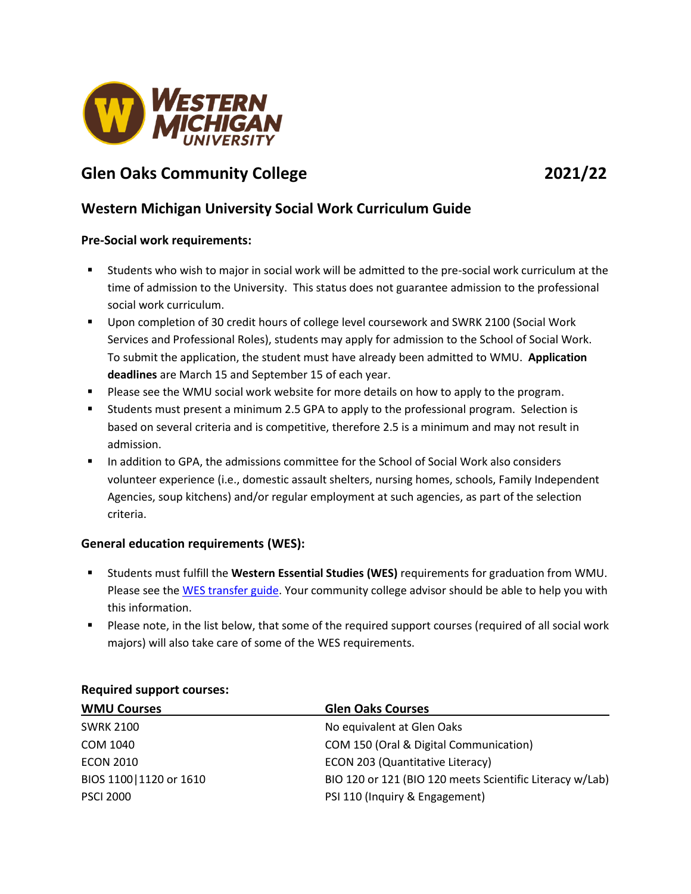

# **Glen Oaks Community College 2021/22**

# **Western Michigan University Social Work Curriculum Guide**

### **Pre-Social work requirements:**

- Students who wish to major in social work will be admitted to the pre-social work curriculum at the time of admission to the University. This status does not guarantee admission to the professional social work curriculum.
- Upon completion of 30 credit hours of college level coursework and SWRK 2100 (Social Work Services and Professional Roles), students may apply for admission to the School of Social Work. To submit the application, the student must have already been admitted to WMU. **Application deadlines** are March 15 and September 15 of each year.
- **Please see the WMU social work website for more details on how to apply to the program.**
- Students must present a minimum 2.5 GPA to apply to the professional program. Selection is based on several criteria and is competitive, therefore 2.5 is a minimum and may not result in admission.
- In addition to GPA, the admissions committee for the School of Social Work also considers volunteer experience (i.e., domestic assault shelters, nursing homes, schools, Family Independent Agencies, soup kitchens) and/or regular employment at such agencies, as part of the selection criteria.

### **General education requirements (WES):**

- Students must fulfill the **Western Essential Studies (WES)** requirements for graduation from WMU. Please see the WES [transfer guide.](http://www.wmich.edu/admissions/transfer/guides/gocc) Your community college advisor should be able to help you with this information.
- Please note, in the list below, that some of the required support courses (required of all social work majors) will also take care of some of the WES requirements.

| <b>WMU Courses</b>       | <b>Glen Oaks Courses</b>                                 |
|--------------------------|----------------------------------------------------------|
| <b>SWRK 2100</b>         | No equivalent at Glen Oaks                               |
| COM 1040                 | COM 150 (Oral & Digital Communication)                   |
| <b>ECON 2010</b>         | ECON 203 (Quantitative Literacy)                         |
| BIOS 1100   1120 or 1610 | BIO 120 or 121 (BIO 120 meets Scientific Literacy w/Lab) |
| <b>PSCI 2000</b>         | PSI 110 (Inquiry & Engagement)                           |

#### **Required support courses:**